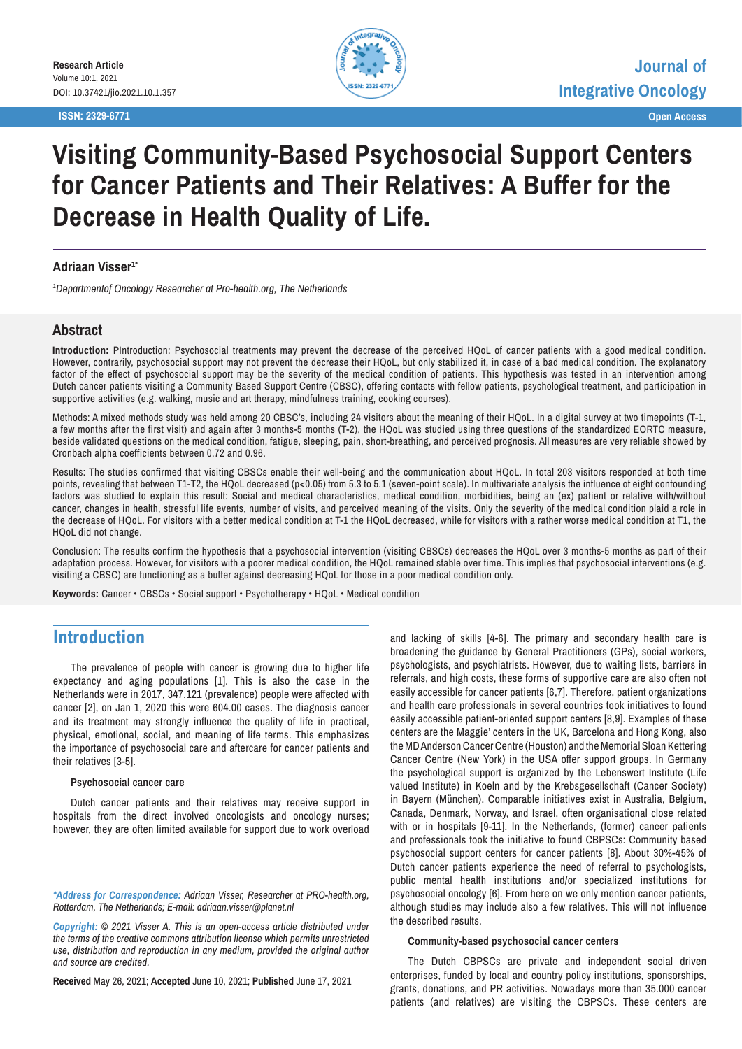**ISSN: 2329-6771 Open Access**



# **Visiting Community-Based Psychosocial Support Centers for Cancer Patients and Their Relatives: A Buffer for the Decrease in Health Quality of Life.**

#### **Adriaan Visser1\***

*1 Departmentof Oncology Researcher at Pro-health.org, The Netherlands*

### **Abstract**

**Introduction:** PIntroduction: Psychosocial treatments may prevent the decrease of the perceived HQoL of cancer patients with a good medical condition. However, contrarily, psychosocial support may not prevent the decrease their HQoL, but only stabilized it, in case of a bad medical condition. The explanatory factor of the effect of psychosocial support may be the severity of the medical condition of patients. This hypothesis was tested in an intervention among Dutch cancer patients visiting a Community Based Support Centre (CBSC), offering contacts with fellow patients, psychological treatment, and participation in supportive activities (e.g. walking, music and art therapy, mindfulness training, cooking courses).

Methods: A mixed methods study was held among 20 CBSC's, including 24 visitors about the meaning of their HQoL. In a digital survey at two timepoints (T-1, a few months after the first visit) and again after 3 months-5 months (T-2), the HQoL was studied using three questions of the standardized EORTC measure, beside validated questions on the medical condition, fatigue, sleeping, pain, short-breathing, and perceived prognosis. All measures are very reliable showed by Cronbach alpha coefficients between 0.72 and 0.96.

Results: The studies confirmed that visiting CBSCs enable their well-being and the communication about HQoL. In total 203 visitors responded at both time points, revealing that between T1-T2, the HQoL decreased (p<0.05) from 5.3 to 5.1 (seven-point scale). In multivariate analysis the influence of eight confounding factors was studied to explain this result: Social and medical characteristics, medical condition, morbidities, being an (ex) patient or relative with/without cancer, changes in health, stressful life events, number of visits, and perceived meaning of the visits. Only the severity of the medical condition plaid a role in the decrease of HQoL. For visitors with a better medical condition at T-1 the HQoL decreased, while for visitors with a rather worse medical condition at T1, the HQoL did not change.

Conclusion: The results confirm the hypothesis that a psychosocial intervention (visiting CBSCs) decreases the HQoL over 3 months-5 months as part of their adaptation process. However, for visitors with a poorer medical condition, the HQoL remained stable over time. This implies that psychosocial interventions (e.g. visiting a CBSC) are functioning as a buffer against decreasing HQoL for those in a poor medical condition only.

**Keywords:** Cancer • CBSCs • Social support • Psychotherapy • HQoL • Medical condition

### **Introduction**

The prevalence of people with cancer is growing due to higher life expectancy and aging populations [1]. This is also the case in the Netherlands were in 2017, 347.121 (prevalence) people were affected with cancer [2], on Jan 1, 2020 this were 604.00 cases. The diagnosis cancer and its treatment may strongly influence the quality of life in practical, physical, emotional, social, and meaning of life terms. This emphasizes the importance of psychosocial care and aftercare for cancer patients and their relatives [3-5].

#### **Psychosocial cancer care**

Dutch cancer patients and their relatives may receive support in hospitals from the direct involved oncologists and oncology nurses; however, they are often limited available for support due to work overload

*\*Address for Correspondence: Adriaan Visser, Researcher at PRO-health.org, Rotterdam, The Netherlands; E-mail: adriaan.visser@planet.nl* 

*Copyright: © 2021 Visser A. This is an open-access article distributed under the terms of the creative commons attribution license which permits unrestricted use, distribution and reproduction in any medium, provided the original author and source are credited.*

**Received** May 26, 2021; **Accepted** June 10, 2021; **Published** June 17, 2021

and lacking of skills [4-6]. The primary and secondary health care is broadening the guidance by General Practitioners (GPs), social workers, psychologists, and psychiatrists. However, due to waiting lists, barriers in referrals, and high costs, these forms of supportive care are also often not easily accessible for cancer patients [6,7]. Therefore, patient organizations and health care professionals in several countries took initiatives to found easily accessible patient-oriented support centers [8,9]. Examples of these centers are the Maggie' centers in the UK, Barcelona and Hong Kong, also the MD Anderson Cancer Centre (Houston) and the Memorial Sloan Kettering Cancer Centre (New York) in the USA offer support groups. In Germany the psychological support is organized by the Lebenswert Institute (Life valued Institute) in Koeln and by the Krebsgesellschaft (Cancer Society) in Bayern (München). Comparable initiatives exist in Australia, Belgium, Canada, Denmark, Norway, and Israel, often organisational close related with or in hospitals [9-11]. In the Netherlands, (former) cancer patients and professionals took the initiative to found CBPSCs: Community based psychosocial support centers for cancer patients [8]. About 30%-45% of Dutch cancer patients experience the need of referral to psychologists, public mental health institutions and/or specialized institutions for psychosocial oncology [6]. From here on we only mention cancer patients, although studies may include also a few relatives. This will not influence the described results.

#### **Community-based psychosocial cancer centers**

The Dutch CBPSCs are private and independent social driven enterprises, funded by local and country policy institutions, sponsorships, grants, donations, and PR activities. Nowadays more than 35.000 cancer patients (and relatives) are visiting the CBPSCs. These centers are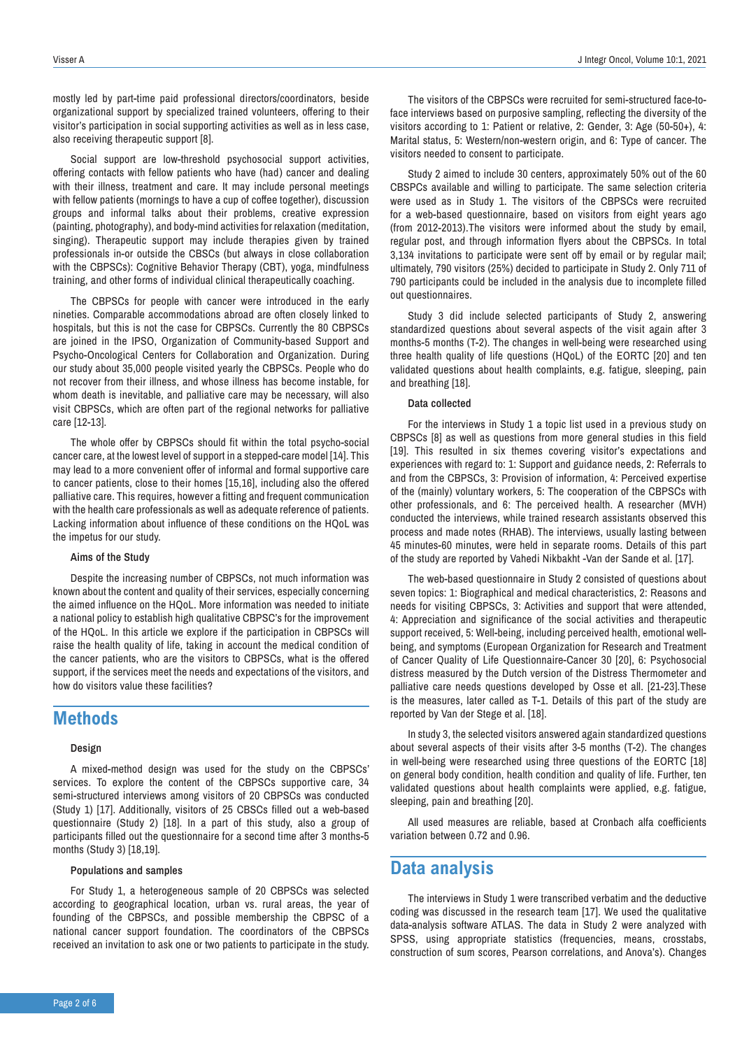mostly led by part-time paid professional directors/coordinators, beside organizational support by specialized trained volunteers, offering to their visitor's participation in social supporting activities as well as in less case, also receiving therapeutic support [8].

Social support are low-threshold psychosocial support activities, offering contacts with fellow patients who have (had) cancer and dealing with their illness, treatment and care. It may include personal meetings with fellow patients (mornings to have a cup of coffee together), discussion groups and informal talks about their problems, creative expression (painting, photography), and body-mind activities for relaxation (meditation, singing). Therapeutic support may include therapies given by trained professionals in-or outside the CBSCs (but always in close collaboration with the CBPSCs): Cognitive Behavior Therapy (CBT), yoga, mindfulness training, and other forms of individual clinical therapeutically coaching.

The CBPSCs for people with cancer were introduced in the early nineties. Comparable accommodations abroad are often closely linked to hospitals, but this is not the case for CBPSCs. Currently the 80 CBPSCs are joined in the IPSO, Organization of Community-based Support and Psycho-Oncological Centers for Collaboration and Organization. During our study about 35,000 people visited yearly the CBPSCs. People who do not recover from their illness, and whose illness has become instable, for whom death is inevitable, and palliative care may be necessary, will also visit CBPSCs, which are often part of the regional networks for palliative care [12-13].

The whole offer by CBPSCs should fit within the total psycho-social cancer care, at the lowest level of support in a stepped-care model [14]. This may lead to a more convenient offer of informal and formal supportive care to cancer patients, close to their homes [15,16], including also the offered palliative care. This requires, however a fitting and frequent communication with the health care professionals as well as adequate reference of patients. Lacking information about influence of these conditions on the HQoL was the impetus for our study.

#### **Aims of the Study**

Despite the increasing number of CBPSCs, not much information was known about the content and quality of their services, especially concerning the aimed influence on the HQoL. More information was needed to initiate a national policy to establish high qualitative CBPSC's for the improvement of the HQoL. In this article we explore if the participation in CBPSCs will raise the health quality of life, taking in account the medical condition of the cancer patients, who are the visitors to CBPSCs, what is the offered support, if the services meet the needs and expectations of the visitors, and how do visitors value these facilities?

### **Methods**

#### **Design**

A mixed-method design was used for the study on the CBPSCs' services. To explore the content of the CBPSCs supportive care, 34 semi-structured interviews among visitors of 20 CBPSCs was conducted (Study 1) [17]. Additionally, visitors of 25 CBSCs filled out a web-based questionnaire (Study 2) [18]. In a part of this study, also a group of participants filled out the questionnaire for a second time after 3 months-5 months (Study 3) [18,19].

#### **Populations and samples**

For Study 1, a heterogeneous sample of 20 CBPSCs was selected according to geographical location, urban vs. rural areas, the year of founding of the CBPSCs, and possible membership the CBPSC of a national cancer support foundation. The coordinators of the CBPSCs received an invitation to ask one or two patients to participate in the study.

The visitors of the CBPSCs were recruited for semi-structured face-toface interviews based on purposive sampling, reflecting the diversity of the visitors according to 1: Patient or relative, 2: Gender, 3: Age (50-50+), 4: Marital status, 5: Western/non-western origin, and 6: Type of cancer. The visitors needed to consent to participate.

Study 2 aimed to include 30 centers, approximately 50% out of the 60 CBSPCs available and willing to participate. The same selection criteria were used as in Study 1. The visitors of the CBPSCs were recruited for a web-based questionnaire, based on visitors from eight years ago (from 2012-2013).The visitors were informed about the study by email, regular post, and through information flyers about the CBPSCs. In total 3,134 invitations to participate were sent off by email or by regular mail; ultimately, 790 visitors (25%) decided to participate in Study 2. Only 711 of 790 participants could be included in the analysis due to incomplete filled out questionnaires.

Study 3 did include selected participants of Study 2, answering standardized questions about several aspects of the visit again after 3 months-5 months (T-2). The changes in well-being were researched using three health quality of life questions (HQoL) of the EORTC [20] and ten validated questions about health complaints, e.g. fatigue, sleeping, pain and breathing [18].

#### **Data collected**

For the interviews in Study 1 a topic list used in a previous study on CBPSCs [8] as well as questions from more general studies in this field [19]. This resulted in six themes covering visitor's expectations and experiences with regard to: 1: Support and guidance needs, 2: Referrals to and from the CBPSCs, 3: Provision of information, 4: Perceived expertise of the (mainly) voluntary workers, 5: The cooperation of the CBPSCs with other professionals, and 6: The perceived health. A researcher (MVH) conducted the interviews, while trained research assistants observed this process and made notes (RHAB). The interviews, usually lasting between 45 minutes-60 minutes, were held in separate rooms. Details of this part of the study are reported by Vahedi Nikbakht -Van der Sande et al. [17].

The web-based questionnaire in Study 2 consisted of questions about seven topics: 1: Biographical and medical characteristics, 2: Reasons and needs for visiting CBPSCs, 3: Activities and support that were attended, 4: Appreciation and significance of the social activities and therapeutic support received, 5: Well-being, including perceived health, emotional wellbeing, and symptoms (European Organization for Research and Treatment of Cancer Quality of Life Questionnaire-Cancer 30 [20], 6: Psychosocial distress measured by the Dutch version of the Distress Thermometer and palliative care needs questions developed by Osse et all. [21-23].These is the measures, later called as T-1. Details of this part of the study are reported by Van der Stege et al. [18].

In study 3, the selected visitors answered again standardized questions about several aspects of their visits after 3-5 months (T-2). The changes in well-being were researched using three questions of the EORTC [18] on general body condition, health condition and quality of life. Further, ten validated questions about health complaints were applied, e.g. fatigue, sleeping, pain and breathing [20].

All used measures are reliable, based at Cronbach alfa coefficients variation between 0.72 and 0.96.

### **Data analysis**

The interviews in Study 1 were transcribed verbatim and the deductive coding was discussed in the research team [17]. We used the qualitative data-analysis software ATLAS. The data in Study 2 were analyzed with SPSS, using appropriate statistics (frequencies, means, crosstabs, construction of sum scores, Pearson correlations, and Anova's). Changes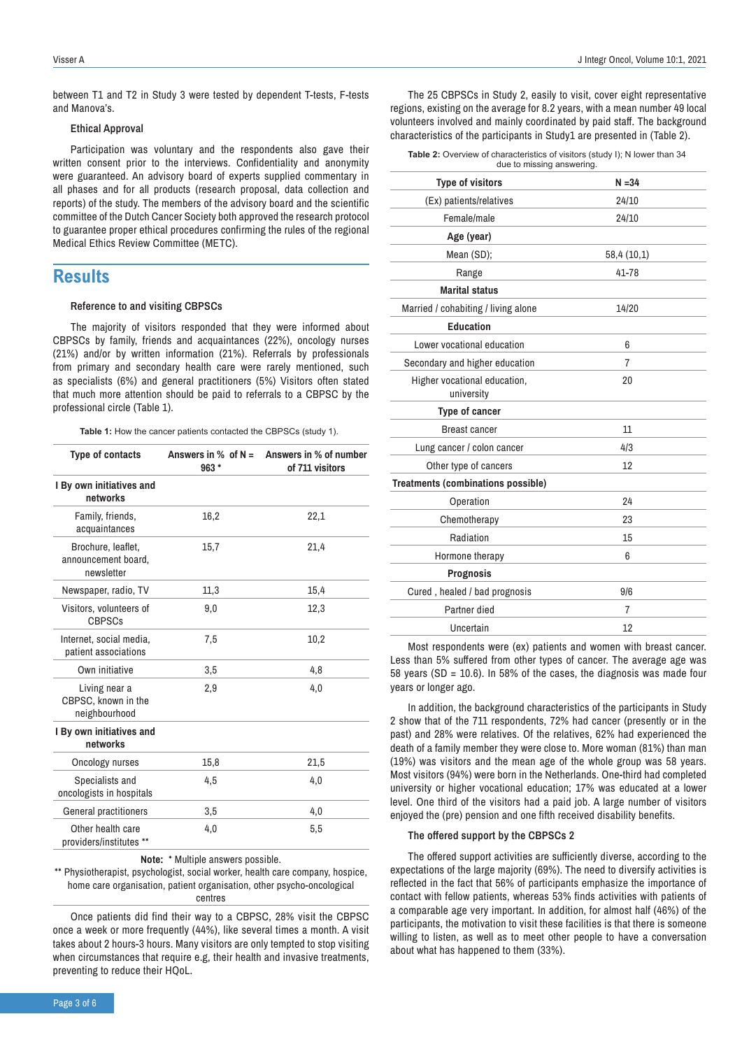between T1 and T2 in Study 3 were tested by dependent T-tests, F-tests and Manova's.

#### **Ethical Approval**

Participation was voluntary and the respondents also gave their written consent prior to the interviews. Confidentiality and anonymity were guaranteed. An advisory board of experts supplied commentary in all phases and for all products (research proposal, data collection and reports) of the study. The members of the advisory board and the scientific committee of the Dutch Cancer Society both approved the research protocol to guarantee proper ethical procedures confirming the rules of the regional Medical Ethics Review Committee (METC).

### **Results**

#### **Reference to and visiting CBPSCs**

The majority of visitors responded that they were informed about CBPSCs by family, friends and acquaintances (22%), oncology nurses (21%) and/or by written information (21%). Referrals by professionals from primary and secondary health care were rarely mentioned, such as specialists (6%) and general practitioners (5%) Visitors often stated that much more attention should be paid to referrals to a CBPSC by the professional circle (Table 1).

**Table 1:** How the cancer patients contacted the CBPSCs (study 1).

| <b>Type of contacts</b>                                 | Answers in $%$ of N =<br>$963*$ | Answers in % of number<br>of 711 visitors |
|---------------------------------------------------------|---------------------------------|-------------------------------------------|
| I By own initiatives and<br>networks                    |                                 |                                           |
| Family, friends,<br>acquaintances                       | 16,2                            | 22,1                                      |
| Brochure, leaflet,<br>announcement board,<br>newsletter | 15,7                            | 21,4                                      |
| Newspaper, radio, TV                                    | 11,3                            | 15,4                                      |
| Visitors, volunteers of<br>CBPSCs                       | 9,0                             | 12,3                                      |
| Internet, social media,<br>patient associations         | 7,5                             | 10,2                                      |
| Own initiative                                          | 3,5                             | 4,8                                       |
| Living near a<br>CBPSC, known in the<br>neighbourhood   | 2.9                             | 4.0                                       |
| I By own initiatives and<br>networks                    |                                 |                                           |
| Oncology nurses                                         | 15,8                            | 21,5                                      |
| Specialists and<br>oncologists in hospitals             | 4,5                             | 4,0                                       |
| General practitioners                                   | 3,5                             | 4,0                                       |
| Other health care<br>providers/institutes **            | 4,0                             | 5,5                                       |

**Note:** \* Multiple answers possible.

\*\* Physiotherapist, psychologist, social worker, health care company, hospice, home care organisation, patient organisation, other psycho-oncological centres

Once patients did find their way to a CBPSC, 28% visit the CBPSC once a week or more frequently (44%), like several times a month. A visit takes about 2 hours-3 hours. Many visitors are only tempted to stop visiting when circumstances that require e.g, their health and invasive treatments, preventing to reduce their HQoL.

The 25 CBPSCs in Study 2, easily to visit, cover eight representative regions, existing on the average for 8.2 years, with a mean number 49 local volunteers involved and mainly coordinated by paid staff. The background characteristics of the participants in Study1 are presented in (Table 2).

| <b>Table 2:</b> Overview of characteristics of visitors (study I); N lower than 34 |  |  |  |
|------------------------------------------------------------------------------------|--|--|--|
| due to missing answering.                                                          |  |  |  |

| <b>Type of visitors</b>                    | $N = 34$    |  |  |
|--------------------------------------------|-------------|--|--|
| (Ex) patients/relatives                    | 24/10       |  |  |
| Female/male                                | 24/10       |  |  |
| Age (year)                                 |             |  |  |
| Mean (SD);                                 | 58,4 (10,1) |  |  |
| Range                                      | 41-78       |  |  |
| <b>Marital status</b>                      |             |  |  |
| Married / cohabiting / living alone        | 14/20       |  |  |
| <b>Education</b>                           |             |  |  |
| Lower vocational education                 | 6           |  |  |
| Secondary and higher education             | 7           |  |  |
| Higher vocational education,<br>university | 20          |  |  |
| Type of cancer                             |             |  |  |
| <b>Breast cancer</b>                       | 11          |  |  |
| Lung cancer / colon cancer                 | 4/3         |  |  |
| Other type of cancers                      | 12          |  |  |
| Treatments (combinations possible)         |             |  |  |
| Operation                                  | 24          |  |  |
| Chemotherapy                               | 23          |  |  |
| Radiation                                  | 15          |  |  |
| Hormone therapy                            | 6           |  |  |
| <b>Prognosis</b>                           |             |  |  |
| Cured, healed / bad prognosis              | 9/6         |  |  |
| Partner died                               | 7           |  |  |
| Uncertain                                  | 12          |  |  |

Most respondents were (ex) patients and women with breast cancer. Less than 5% suffered from other types of cancer. The average age was 58 years (SD =  $10.6$ ). In 58% of the cases, the diagnosis was made four years or longer ago.

In addition, the background characteristics of the participants in Study 2 show that of the 711 respondents, 72% had cancer (presently or in the past) and 28% were relatives. Of the relatives, 62% had experienced the death of a family member they were close to. More woman (81%) than man (19%) was visitors and the mean age of the whole group was 58 years. Most visitors (94%) were born in the Netherlands. One-third had completed university or higher vocational education; 17% was educated at a lower level. One third of the visitors had a paid job. A large number of visitors enjoyed the (pre) pension and one fifth received disability benefits.

#### **The offered support by the CBPSCs 2**

The offered support activities are sufficiently diverse, according to the expectations of the large majority (69%). The need to diversify activities is reflected in the fact that 56% of participants emphasize the importance of contact with fellow patients, whereas 53% finds activities with patients of a comparable age very important. In addition, for almost half (46%) of the participants, the motivation to visit these facilities is that there is someone willing to listen, as well as to meet other people to have a conversation about what has happened to them (33%).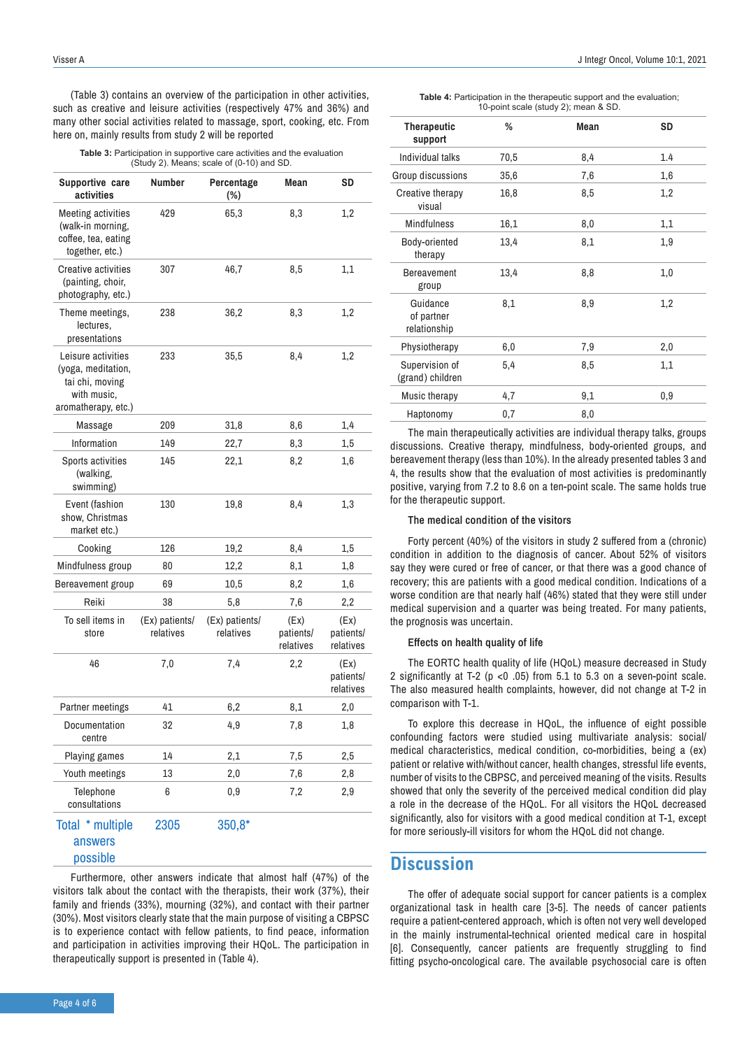(Table 3) contains an overview of the participation in other activities, such as creative and leisure activities (respectively 47% and 36%) and many other social activities related to massage, sport, cooking, etc. From here on, mainly results from study 2 will be reported

| Table 3: Participation in supportive care activities and the evaluation |
|-------------------------------------------------------------------------|
| (Study 2). Means; scale of (0-10) and SD.                               |

| Supportive care<br>activities                                                                     | Number                      | Percentage<br>$(\%)$        | Mean                           | SD                             |
|---------------------------------------------------------------------------------------------------|-----------------------------|-----------------------------|--------------------------------|--------------------------------|
| <b>Meeting activities</b><br>(walk-in morning,<br>coffee, tea, eating<br>together, etc.)          | 429                         | 65,3                        | 8,3                            | 1,2                            |
| <b>Creative activities</b><br>(painting, choir,<br>photography, etc.)                             | 307                         | 46,7                        | 8,5                            | 1,1                            |
| Theme meetings,<br>lectures,<br>presentations                                                     | 238                         | 36,2                        | 8,3                            | 1,2                            |
| Leisure activities<br>(yoga, meditation,<br>tai chi, moving<br>with music.<br>aromatherapy, etc.) | 233                         | 35,5                        | 8,4                            | 1,2                            |
| Massage                                                                                           | 209                         | 31,8                        | 8,6                            | 1,4                            |
| Information                                                                                       | 149                         | 22,7                        | 8,3                            | 1,5                            |
| Sports activities<br>(walking,<br>swimming)                                                       | 145                         | 22,1                        | 8,2                            | 1,6                            |
| Event (fashion<br>show, Christmas<br>market etc.)                                                 | 130                         | 19,8                        | 8.4                            | 1,3                            |
| Cooking                                                                                           | 126                         | 19,2                        | 8,4                            | 1,5                            |
| Mindfulness group                                                                                 | 80                          | 12,2                        | 8,1                            | 1,8                            |
| Bereavement group                                                                                 | 69                          | 10,5                        | 8,2                            | 1,6                            |
| Reiki                                                                                             | 38                          | 5,8                         | 7,6                            | 2,2                            |
| To sell items in<br>store                                                                         | (Ex) patients/<br>relatives | (Ex) patients/<br>relatives | (Ex)<br>patients/<br>relatives | (Ex)<br>patients/<br>relatives |
| 46                                                                                                | 7,0                         | 7,4                         | 2,2                            | (EX)<br>patients/<br>relatives |
| Partner meetings                                                                                  | 41                          | 6,2                         | 8,1                            | 2,0                            |
| Documentation<br>centre                                                                           | 32                          | 4,9                         | 7,8                            | 1,8                            |
| Playing games                                                                                     | 14                          | 2,1                         | 7,5                            | 2,5                            |
| Youth meetings                                                                                    | 13                          | 2,0                         | 7,6                            | 2,8                            |
| Telephone<br>consultations                                                                        | 6                           | 0,9                         | 7,2                            | 2,9                            |
| Total * multiple<br>answers<br>possible                                                           | 2305                        | $350,8*$                    |                                |                                |

Furthermore, other answers indicate that almost half (47%) of the visitors talk about the contact with the therapists, their work (37%), their family and friends (33%), mourning (32%), and contact with their partner (30%). Most visitors clearly state that the main purpose of visiting a CBPSC is to experience contact with fellow patients, to find peace, information and participation in activities improving their HQoL. The participation in therapeutically support is presented in (Table 4).

**Table 4:** Participation in the therapeutic support and the evaluation; 10-point scale (study 2); mean & SD.

| <b>Therapeutic</b><br>support          | %    | Mean | <b>SD</b> |
|----------------------------------------|------|------|-----------|
| Individual talks                       | 70,5 | 8,4  | 1.4       |
| Group discussions                      | 35,6 | 7,6  | 1,6       |
| Creative therapy<br>visual             | 16,8 | 8,5  | 1,2       |
| <b>Mindfulness</b>                     | 16,1 | 8,0  | 1,1       |
| Body-oriented<br>therapy               | 13,4 | 8,1  | 1,9       |
| Bereavement<br>group                   | 13,4 | 8,8  | 1,0       |
| Guidance<br>of partner<br>relationship | 8,1  | 8,9  | 1,2       |
| Physiotherapy                          | 6,0  | 7,9  | 2,0       |
| Supervision of<br>(grand) children     | 5,4  | 8,5  | 1,1       |
| Music therapy                          | 4,7  | 9,1  | 0,9       |
| Haptonomy                              | 0,7  | 8,0  |           |

The main therapeutically activities are individual therapy talks, groups discussions. Creative therapy, mindfulness, body-oriented groups, and bereavement therapy (less than 10%). In the already presented tables 3 and 4, the results show that the evaluation of most activities is predominantly positive, varying from 7.2 to 8.6 on a ten-point scale. The same holds true for the therapeutic support.

#### **The medical condition of the visitors**

Forty percent (40%) of the visitors in study 2 suffered from a (chronic) condition in addition to the diagnosis of cancer. About 52% of visitors say they were cured or free of cancer, or that there was a good chance of recovery; this are patients with a good medical condition. Indications of a worse condition are that nearly half (46%) stated that they were still under medical supervision and a quarter was being treated. For many patients, the prognosis was uncertain.

#### **Effects on health quality of life**

The EORTC health quality of life (HQoL) measure decreased in Study 2 significantly at T-2 (p <0 .05) from 5.1 to 5.3 on a seven-point scale. The also measured health complaints, however, did not change at T-2 in comparison with T-1.

To explore this decrease in HQoL, the influence of eight possible confounding factors were studied using multivariate analysis: social/ medical characteristics, medical condition, co-morbidities, being a (ex) patient or relative with/without cancer, health changes, stressful life events, number of visits to the CBPSC, and perceived meaning of the visits. Results showed that only the severity of the perceived medical condition did play a role in the decrease of the HQoL. For all visitors the HQoL decreased significantly, also for visitors with a good medical condition at T-1, except for more seriously-ill visitors for whom the HQoL did not change.

### **Discussion**

The offer of adequate social support for cancer patients is a complex organizational task in health care [3-5]. The needs of cancer patients require a patient-centered approach, which is often not very well developed in the mainly instrumental-technical oriented medical care in hospital [6]. Consequently, cancer patients are frequently struggling to find fitting psycho-oncological care. The available psychosocial care is often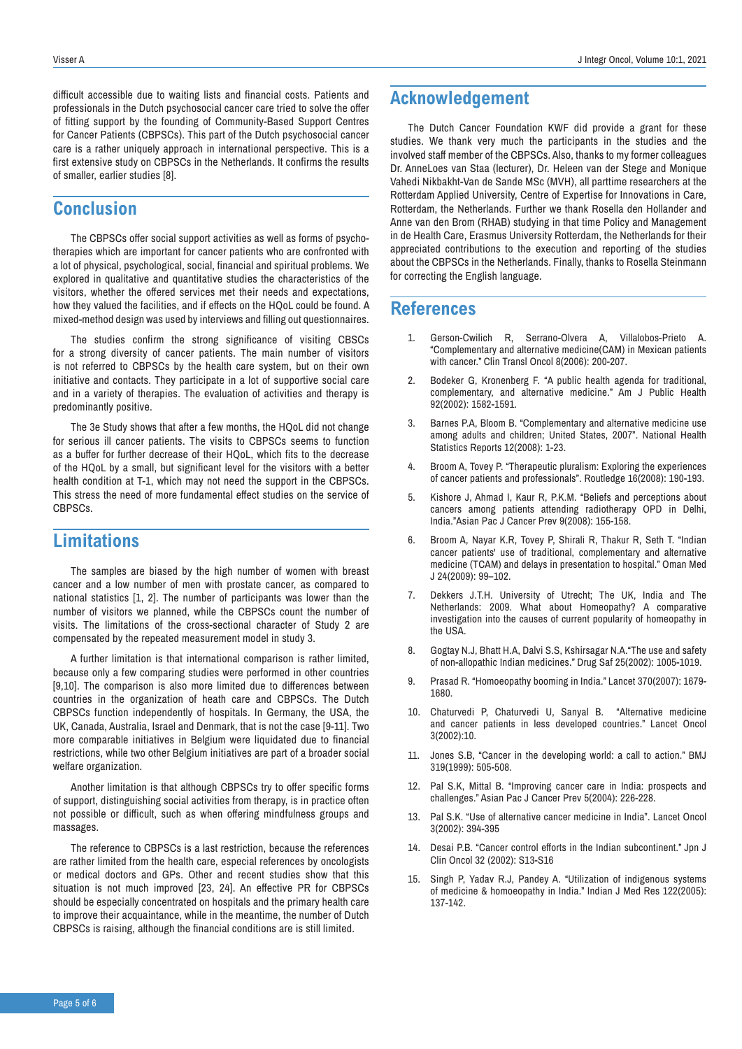difficult accessible due to waiting lists and financial costs. Patients and professionals in the Dutch psychosocial cancer care tried to solve the offer of fitting support by the founding of Community-Based Support Centres for Cancer Patients (CBPSCs). This part of the Dutch psychosocial cancer care is a rather uniquely approach in international perspective. This is a first extensive study on CBPSCs in the Netherlands. It confirms the results of smaller, earlier studies [8].

### **Conclusion**

The CBPSCs offer social support activities as well as forms of psychotherapies which are important for cancer patients who are confronted with a lot of physical, psychological, social, financial and spiritual problems. We explored in qualitative and quantitative studies the characteristics of the visitors, whether the offered services met their needs and expectations, how they valued the facilities, and if effects on the HQoL could be found. A mixed-method design was used by interviews and filling out questionnaires.

The studies confirm the strong significance of visiting CBSCs for a strong diversity of cancer patients. The main number of visitors is not referred to CBPSCs by the health care system, but on their own initiative and contacts. They participate in a lot of supportive social care and in a variety of therapies. The evaluation of activities and therapy is predominantly positive.

The 3e Study shows that after a few months, the HQoL did not change for serious ill cancer patients. The visits to CBPSCs seems to function as a buffer for further decrease of their HQoL, which fits to the decrease of the HQoL by a small, but significant level for the visitors with a better health condition at T-1, which may not need the support in the CBPSCs. This stress the need of more fundamental effect studies on the service of CBPSCs.

## **Limitations**

The samples are biased by the high number of women with breast cancer and a low number of men with prostate cancer, as compared to national statistics [1, 2]. The number of participants was lower than the number of visitors we planned, while the CBPSCs count the number of visits. The limitations of the cross-sectional character of Study 2 are compensated by the repeated measurement model in study 3.

A further limitation is that international comparison is rather limited, because only a few comparing studies were performed in other countries [9,10]. The comparison is also more limited due to differences between countries in the organization of heath care and CBPSCs. The Dutch CBPSCs function independently of hospitals. In Germany, the USA, the UK, Canada, Australia, Israel and Denmark, that is not the case [9-11]. Two more comparable initiatives in Belgium were liquidated due to financial restrictions, while two other Belgium initiatives are part of a broader social welfare organization.

Another limitation is that although CBPSCs try to offer specific forms of support, distinguishing social activities from therapy, is in practice often not possible or difficult, such as when offering mindfulness groups and massages.

The reference to CBPSCs is a last restriction, because the references are rather limited from the health care, especial references by oncologists or medical doctors and GPs. Other and recent studies show that this situation is not much improved [23, 24]. An effective PR for CBPSCs should be especially concentrated on hospitals and the primary health care to improve their acquaintance, while in the meantime, the number of Dutch CBPSCs is raising, although the financial conditions are is still limited.

## **Acknowledgement**

The Dutch Cancer Foundation KWF did provide a grant for these studies. We thank very much the participants in the studies and the involved staff member of the CBPSCs. Also, thanks to my former colleagues Dr. AnneLoes van Staa (lecturer), Dr. Heleen van der Stege and Monique Vahedi Nikbakht-Van de Sande MSc (MVH), all parttime researchers at the Rotterdam Applied University, Centre of Expertise for Innovations in Care, Rotterdam, the Netherlands. Further we thank Rosella den Hollander and Anne van den Brom (RHAB) studying in that time Policy and Management in de Health Care, Erasmus University Rotterdam, the Netherlands for their appreciated contributions to the execution and reporting of the studies about the CBPSCs in the Netherlands. Finally, thanks to Rosella Steinmann for correcting the English language.

### **References**

- 1. Gerson-Cwilich R, Serrano-Olvera A, Villalobos-Prieto A. "Complementary and alternative medicine(CAM) in Mexican patients with cancer." Clin Transl Oncol 8(2006): 200-207.
- 2. Bodeker G, Kronenberg F. "A public health agenda for traditional, complementary, and alternative medicine." Am J Public Health 92(2002): 1582-1591.
- 3. Barnes P.A, Bloom B. "Complementary and alternative medicine use among adults and children; United States, 2007". National Health Statistics Reports 12(2008): 1-23.
- 4. Broom A, Tovey P. "Therapeutic pluralism: Exploring the experiences of cancer patients and professionals". Routledge 16(2008): 190-193.
- 5. Kishore J, Ahmad I, Kaur R, P.K.M. "Beliefs and perceptions about cancers among patients attending radiotherapy OPD in Delhi, India."Asian Pac J Cancer Prev 9(2008): 155-158.
- 6. Broom A, Nayar K.R, Tovey P, Shirali R, Thakur R, Seth T. "Indian cancer patients' use of traditional, complementary and alternative medicine (TCAM) and delays in presentation to hospital." Oman Med J 24(2009): 99–102.
- 7. Dekkers J.T.H. University of Utrecht; The UK, India and The Netherlands: 2009. What about Homeopathy? A comparative investigation into the causes of current popularity of homeopathy in the USA.
- 8. Gogtay N.J, Bhatt H.A, Dalvi S.S, Kshirsagar N.A."The use and safety of non-allopathic Indian medicines." Drug Saf 25(2002): 1005-1019.
- 9. Prasad R. "Homoeopathy booming in India." Lancet 370(2007): 1679- 1680.
- 10. Chaturvedi P, Chaturvedi U, Sanyal B. "Alternative medicine and cancer patients in less developed countries." Lancet Oncol 3(2002):10.
- 11. Jones S.B, "Cancer in the developing world: a call to action." BMJ 319(1999): 505-508.
- 12. Pal S.K, Mittal B. "Improving cancer care in India: prospects and challenges." Asian Pac J Cancer Prev 5(2004): 226-228.
- 13. Pal S.K. "Use of alternative cancer medicine in India". Lancet Oncol 3(2002): 394-395
- 14. Desai P.B. "Cancer control efforts in the Indian subcontinent." Jpn J Clin Oncol 32 (2002): S13-S16
- 15. Singh P, Yadav R.J, Pandey A. "Utilization of indigenous systems of medicine & homoeopathy in India." Indian J Med Res 122(2005): 137-142.